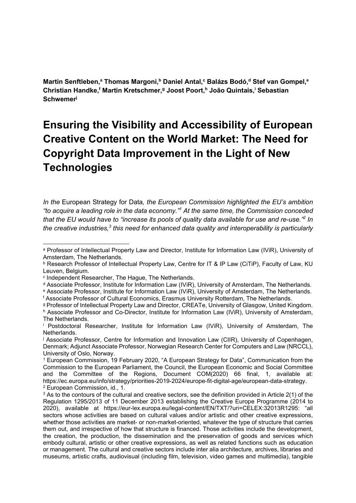Martin Senftleben,<sup>a</sup> Thomas Margoni,<sup>b</sup> Daniel Antal,<sup>c</sup> Balázs Bodó,<sup>d</sup> Stef van Gompel,<sup>e</sup> Christian Handke, Martin Kretschmer, <sup>g</sup> Joost Poort, <sup>h</sup> João Quintais, i Sebastian **Schwemer** 

# Ensuring the Visibility and Accessibility of European Creative Content on the World Market: The Need for Copyright Data Improvement in the Light of New **Technologies**

In the European Strategy for Data, the European Commission highlighted the EU's ambition "to acquire a leading role in the data economy."<sup>1</sup> At the same time, the Commission conceded that the EU would have to "increase its pools of quality data available for use and re-use."  $2$  In the creative industries, $3$  this need for enhanced data quality and interoperability is particularly

<sup>d</sup> Associate Professor, Institute for Information Law (IViR), University of Amsterdam, The Netherlands.

f Associate Professor of Cultural Economics, Erasmus University Rotterdam, The Netherlands.

g Professor of Intellectual Property Law and Director, CREATe, University of Glasgow, United Kingdom.

a Professor of Intellectual Property Law and Director, Institute for Information Law (IViR), University of Amsterdam, The Netherlands.

b Research Professor of Intellectual Property Law, Centre for IT & IP Law (CiTiP), Faculty of Law, KU Leuven, Belgium.

c Independent Researcher, The Hague, The Netherlands.

e Associate Professor, Institute for Information Law (IViR), University of Amsterdam, The Netherlands.

h Associate Professor and Co-Director, Institute for Information Law (IViR), University of Amsterdam, The Netherlands.

i Postdoctoral Researcher, Institute for Information Law (IViR), University of Amsterdam, The Netherlands.

j Associate Professor, Centre for Information and Innovation Law (CIIR), University of Copenhagen, Denmark; Adjunct Associate Professor, Norwegian Research Center for Computers and Law (NRCCL), University of Oslo, Norway.

<sup>1</sup> European Commission, 19 February 2020, "A European Strategy for Data", Communication from the Commission to the European Parliament, the Council, the European Economic and Social Committee and the Committee of the Regions, Document COM(2020) 66 final, 1, available at: https://ec.europa.eu/info/strategy/priorities-2019-2024/europe-fit-digital-age/european-data-strategy. 2 European Commission, id., 1.

<sup>&</sup>lt;sup>3</sup> As to the contours of the cultural and creative sectors, see the definition provided in Article 2(1) of the Regulation 1295/2013 of 11 December 2013 establishing the Creative Europe Programme (2014 to 2020), available at https://eur-lex.europa.eu/legal-content/EN/TXT/?uri=CELEX:32013R1295: "all sectors whose activities are based on cultural values and/or artistic and other creative expressions, whether those activities are market- or non-market-oriented, whatever the type of structure that carries them out, and irrespective of how that structure is financed. Those activities include the development, the creation, the production, the dissemination and the preservation of goods and services which embody cultural, artistic or other creative expressions, as well as related functions such as education or management. The cultural and creative sectors include inter alia architecture, archives, libraries and museums, artistic crafts, audiovisual (including film, television, video games and multimedia), tangible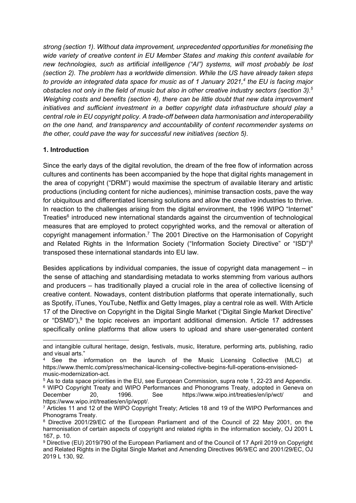strong (section 1). Without data improvement, unprecedented opportunities for monetising the wide variety of creative content in EU Member States and making this content available for new technologies, such as artificial intelligence ("AI") systems, will most probably be lost (section 2). The problem has a worldwide dimension. While the US have already taken steps to provide an integrated data space for music as of 1 January 2021, $4$  the EU is facing major obstacles not only in the field of music but also in other creative industry sectors (section 3).<sup>5</sup> Weighing costs and benefits (section 4), there can be little doubt that new data improvement initiatives and sufficient investment in a better copyright data infrastructure should play a central role in EU copyright policy. A trade-off between data harmonisation and interoperability on the one hand, and transparency and accountability of content recommender systems on the other, could pave the way for successful new initiatives (section 5).

#### 1. Introduction

Since the early days of the digital revolution, the dream of the free flow of information across cultures and continents has been accompanied by the hope that digital rights management in the area of copyright ("DRM") would maximise the spectrum of available literary and artistic productions (including content for niche audiences), minimise transaction costs, pave the way for ubiquitous and differentiated licensing solutions and allow the creative industries to thrive. In reaction to the challenges arising from the digital environment, the 1996 WIPO "Internet" Treaties<sup>6</sup> introduced new international standards against the circumvention of technological measures that are employed to protect copyrighted works, and the removal or alteration of copyright management information.<sup>7</sup> The 2001 Directive on the Harmonisation of Copyright and Related Rights in the Information Society ("Information Society Directive" or "ISD")<sup>8</sup> transposed these international standards into EU law.

Besides applications by individual companies, the issue of copyright data management – in the sense of attaching and standardising metadata to works stemming from various authors and producers – has traditionally played a crucial role in the area of collective licensing of creative content. Nowadays, content distribution platforms that operate internationally, such as Spotify, iTunes, YouTube, Netflix and Getty Images, play a central role as well. With Article 17 of the Directive on Copyright in the Digital Single Market ("Digital Single Market Directive" or "DSMD"),<sup>9</sup> the topic receives an important additional dimension. Article 17 addresses specifically online platforms that allow users to upload and share user-generated content

and intangible cultural heritage, design, festivals, music, literature, performing arts, publishing, radio and visual arts."

<sup>4</sup> See the information on the launch of the Music Licensing Collective (MLC) at https://www.themlc.com/press/mechanical-licensing-collective-begins-full-operations-envisionedmusic-modernization-act.

<sup>5</sup> As to data space priorities in the EU, see European Commission, supra note 1, 22-23 and Appendix. <sup>6</sup> WIPO Copyright Treaty and WIPO Performances and Phonograms Treaty, adopted in Geneva on December 20, 1996. See https://www.wipo.int/treaties/en/ip/wct/ and https://www.wipo.int/treaties/en/ip/wppt/.

<sup>7</sup> Articles 11 and 12 of the WIPO Copyright Treaty; Articles 18 and 19 of the WIPO Performances and Phonograms Treaty.

<sup>&</sup>lt;sup>8</sup> Directive 2001/29/EC of the European Parliament and of the Council of 22 May 2001, on the harmonisation of certain aspects of copyright and related rights in the information society, OJ 2001 L 167, p. 10.

<sup>9</sup> Directive (EU) 2019/790 of the European Parliament and of the Council of 17 April 2019 on Copyright and Related Rights in the Digital Single Market and Amending Directives 96/9/EC and 2001/29/EC, OJ 2019 L 130, 92.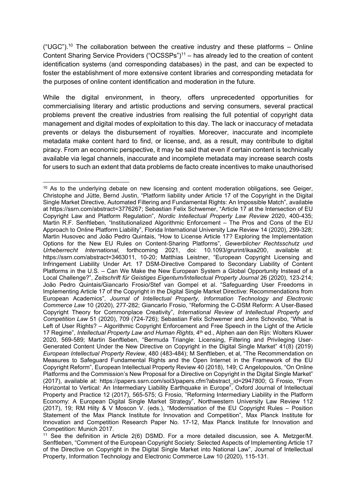("UGC").<sup>10</sup> The collaboration between the creative industry and these platforms – Online Content Sharing Service Providers ("OCSSPs")<sup>11</sup> – has already led to the creation of content identification systems (and corresponding databases) in the past, and can be expected to foster the establishment of more extensive content libraries and corresponding metadata for the purposes of online content identification and moderation in the future.

While the digital environment, in theory, offers unprecedented opportunities for commercialising literary and artistic productions and serving consumers, several practical problems prevent the creative industries from realising the full potential of copyright data management and digital modes of exploitation to this day. The lack or inaccuracy of metadata prevents or delays the disbursement of royalties. Moreover, inaccurate and incomplete metadata make content hard to find, or license, and, as a result, may contribute to digital piracy. From an economic perspective, it may be said that even if certain content is technically available via legal channels, inaccurate and incomplete metadata may increase search costs for users to such an extent that data problems de facto create incentives to make unauthorised

<sup>&</sup>lt;sup>10</sup> As to the underlying debate on new licensing and content moderation obligations, see Geiger, Christophe and Jütte, Bernd Justin, "Platform liability under Article 17 of the Copyright in the Digital Single Market Directive, Automated Filtering and Fundamental Rights: An Impossible Match", available at https://ssrn.com/abstract=3776267; Sebastian Felix Schwemer, "Article 17 at the Intersection of EU Copyright Law and Platform Regulation", Nordic Intellectual Property Law Review 2020, 400-435; Martin R.F. Senftleben, "Institutionalized Algorithmic Enforcement – The Pros and Cons of the EU Approach to Online Platform Liability", Florida International University Law Review 14 (2020), 299-328; Martin Husovec and João Pedro Quintais, "How to License Article 17? Exploring the Implementation Options for the New EU Rules on Content-Sharing Platforms", Gewerblicher Rechtsschutz und Urheberrecht International, forthcoming 2021, doi: 10.1093/grurint/ikaa200, available at: https://ssrn.com/abstract=3463011, 10-20; Matthias Leistner, "European Copyright Licensing and Infringement Liability Under Art. 17 DSM-Directive Compared to Secondary Liability of Content Platforms in the U.S. – Can We Make the New European System a Global Opportunity Instead of a Local Challenge?", Zeitschrift für Geistiges Eigentum/Intellectual Property Journal 26 (2020), 123-214; João Pedro Quintais/Giancarlo Frosio/Stef van Gompel et al. "Safeguarding User Freedoms in Implementing Article 17 of the Copyright in the Digital Single Market Directive: Recommendations from European Academics", Journal of Intellectual Property, Information Technology and Electronic Commerce Law 10 (2020), 277-282; Giancarlo Frosio, "Reforming the C-DSM Reform: A User-Based Copyright Theory for Commonplace Creativity", International Review of Intellectual Property and Competition Law 51 (2020), 709 (724-726); Sebastian Felix Schwemer and Jens Schovsbo, "What is Left of User Rights? – Algorithmic Copyright Enforcement and Free Speech in the Light of the Article 17 Regime", *Intellectual Property Law and Human Rights,* 4<sup>th</sup> ed., Alphen aan den Rijn: Wolters Kluwer 2020, 569-589; Martin Senftleben, "Bermuda Triangle: Licensing, Filtering and Privileging User-Generated Content Under the New Directive on Copyright in the Digital Single Market" 41(8) (2019) European Intellectual Property Review, 480 (483-484); M Senftleben, et al, "The Recommendation on Measures to Safeguard Fundamental Rights and the Open Internet in the Framework of the EU Copyright Reform", European Intellectual Property Review 40 (2018), 149; C Angelopoulos, "On Online Platforms and the Commission's New Proposal for a Directive on Copyright in the Digital Single Market" (2017), available at: https://papers.ssrn.com/sol3/papers.cfm?abstract\_id=2947800; G Frosio, "From Horizontal to Vertical: An Intermediary Liability Earthquake in Europe", Oxford Journal of Intellectual Property and Practice 12 (2017), 565-575; G Frosio, "Reforming Intermediary Liability in the Platform Economy: A European Digital Single Market Strategy", Northwestern University Law Review 112 (2017), 19; RM Hilty & V Moscon V. (eds.), "Modernisation of the EU Copyright Rules – Position Statement of the Max Planck Institute for Innovation and Competition", Max Planck Institute for Innovation and Competition Research Paper No. 17-12, Max Planck Institute for Innovation and Competition: Munich 2017.

<sup>11</sup> See the definition in Article 2(6) DSMD. For a more detailed discussion, see A. Metzger/M. Senftleben, "Comment of the European Copyright Society: Selected Aspects of Implementing Article 17 of the Directive on Copyright in the Digital Single Market into National Law", Journal of Intellectual Property, Information Technology and Electronic Commerce Law 10 (2020), 115-131.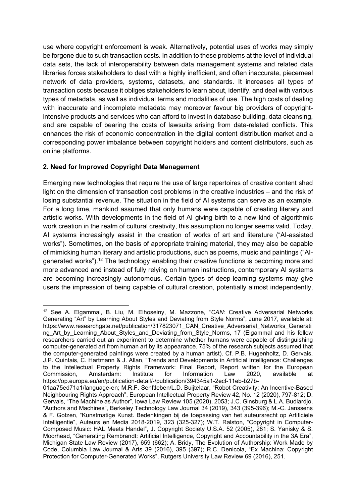use where copyright enforcement is weak. Alternatively, potential uses of works may simply be forgone due to such transaction costs. In addition to these problems at the level of individual data sets, the lack of interoperability between data management systems and related data libraries forces stakeholders to deal with a highly inefficient, and often inaccurate, piecemeal network of data providers, systems, datasets, and standards. It increases all types of transaction costs because it obliges stakeholders to learn about, identify, and deal with various types of metadata, as well as individual terms and modalities of use. The high costs of dealing with inaccurate and incomplete metadata may moreover favour big providers of copyrightintensive products and services who can afford to invest in database building, data cleansing, and are capable of bearing the costs of lawsuits arising from data-related conflicts. This enhances the risk of economic concentration in the digital content distribution market and a corresponding power imbalance between copyright holders and content distributors, such as online platforms.

# 2. Need for Improved Copyright Data Management

Emerging new technologies that require the use of large repertoires of creative content shed light on the dimension of transaction cost problems in the creative industries – and the risk of losing substantial revenue. The situation in the field of AI systems can serve as an example. For a long time, mankind assumed that only humans were capable of creating literary and artistic works. With developments in the field of AI giving birth to a new kind of algorithmic work creation in the realm of cultural creativity, this assumption no longer seems valid. Today, AI systems increasingly assist in the creation of works of art and literature ("AI-assisted works"). Sometimes, on the basis of appropriate training material, they may also be capable of mimicking human literary and artistic productions, such as poems, music and paintings ("AIgenerated works").<sup>12</sup> The technology enabling their creative functions is becoming more and more advanced and instead of fully relying on human instructions, contemporary AI systems are becoming increasingly autonomous. Certain types of deep-learning systems may give users the impression of being capable of cultural creation, potentially almost independently,

<sup>&</sup>lt;sup>12</sup> See A. Elgammal, B. Liu, M. Elhoseiny, M. Mazzone, "CAN: Creative Adversarial Networks Generating "Art" by Learning About Styles and Deviating from Style Norms", June 2017, available at: https://www.researchgate.net/publication/317823071\_CAN\_Creative\_Adversarial\_Networks\_Generati ng\_Art\_by\_Learning\_About\_Styles\_and\_Deviating\_from\_Style\_Norms, 17 (Elgammal and his fellow researchers carried out an experiment to determine whether humans were capable of distinguishing computer-generated art from human art by its appearance. 75% of the research subjects assumed that the computer-generated paintings were created by a human artist). Cf. P.B. Hugenholtz, D. Gervais, J.P. Quintais, C. Hartmann & J. Allan, "Trends and Developments in Artificial Intelligence: Challenges to the Intellectual Property Rights Framework: Final Report, Report written for the European Commission, Amsterdam: Institute for Information Law 2020, available at https://op.europa.eu/en/publication-detail/-/publication/394345a1-2ecf-11eb-b27b-

<sup>01</sup>aa75ed71a1/language-en; M.R.F. Senftleben/L.D. Buijtelaar, "Robot Creativity: An Incentive-Based Neighbouring Rights Approach", European Intellectual Property Review 42, No. 12 (2020), 797-812; D. Gervais, "The Machine as Author", Iowa Law Review 105 (2020), 2053; J.C. Ginsburg & L.A. Budiardjo, "Authors and Machines", Berkeley Technology Law Journal 34 (2019), 343 (395-396); M.-C. Janssens & F. Gotzen, "Kunstmatige Kunst. Bedenkingen bij de toepassing van het auteursrecht op Artificiële Intelligentie", Auteurs en Media 2018-2019, 323 (325-327); W.T. Ralston, "Copyright in Computer-Composed Music: HAL Meets Handel", J. Copyright Society U.S.A. 52 (2005), 281; S. Yanisky & S. Moorhead, "Generating Rembrandt: Artificial Intelligence, Copyright and Accountability in the 3A Era", Michigan State Law Review (2017), 659 (662); A. Bridy, The Evolution of Authorship: Work Made by Code, Columbia Law Journal & Arts 39 (2016), 395 (397); R.C. Denicola, "Ex Machina: Copyright Protection for Computer-Generated Works", Rutgers University Law Review 69 (2016), 251.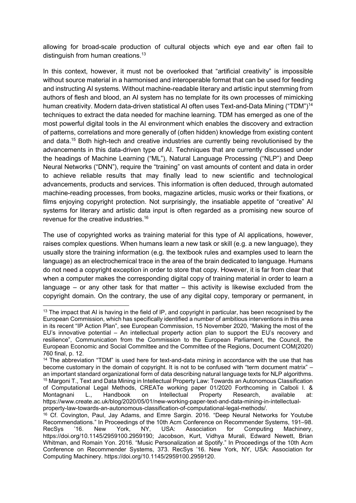allowing for broad-scale production of cultural objects which eye and ear often fail to distinguish from human creations.<sup>13</sup>

In this context, however, it must not be overlooked that "artificial creativity" is impossible without source material in a harmonised and interoperable format that can be used for feeding and instructing AI systems. Without machine-readable literary and artistic input stemming from authors of flesh and blood, an AI system has no template for its own processes of mimicking human creativity. Modern data-driven statistical AI often uses Text-and-Data Mining ("TDM")<sup>14</sup> techniques to extract the data needed for machine learning. TDM has emerged as one of the most powerful digital tools in the AI environment which enables the discovery and extraction of patterns, correlations and more generally of (often hidden) knowledge from existing content and data.<sup>15</sup> Both high-tech and creative industries are currently being revolutionised by the advancements in this data-driven type of AI. Techniques that are currently discussed under the headings of Machine Learning ("ML"), Natural Language Processing ("NLP") and Deep Neural Networks ("DNN"), require the "training" on vast amounts of content and data in order to achieve reliable results that may finally lead to new scientific and technological advancements, products and services. This information is often deduced, through automated machine-reading processes, from books, magazine articles, music works or their fixations, or films enjoying copyright protection. Not surprisingly, the insatiable appetite of "creative" AI systems for literary and artistic data input is often regarded as a promising new source of revenue for the creative industries.<sup>16</sup>

The use of copyrighted works as training material for this type of AI applications, however, raises complex questions. When humans learn a new task or skill (e.g. a new language), they usually store the training information (e.g. the textbook rules and examples used to learn the language) as an electrochemical trace in the area of the brain dedicated to language. Humans do not need a copyright exception in order to store that copy. However, it is far from clear that when a computer makes the corresponding digital copy of training material in order to learn a language – or any other task for that matter – this activity is likewise excluded from the copyright domain. On the contrary, the use of any digital copy, temporary or permanent, in

<sup>&</sup>lt;sup>13</sup> The impact that AI is having in the field of IP, and copyright in particular, has been recognised by the European Commission, which has specifically identified a number of ambitious interventions in this area in its recent "IP Action Plan", see European Commission, 15 November 2020, "Making the most of the EU's innovative potential – An intellectual property action plan to support the EU's recovery and resilience", Communication from the Commission to the European Parliament, the Council, the European Economic and Social Committee and the Committee of the Regions, Document COM(2020) 760 final, p. 12.

<sup>14</sup> The abbreviation "TDM" is used here for text-and-data mining in accordance with the use that has become customary in the domain of copyright. It is not to be confused with "term document matrix" – an important standard organizational form of data describing natural language texts for NLP algorithms. <sup>15</sup> Margoni T., Text and Data Mining in Intellectual Property Law: Towards an Autonomous Classification of Computational Legal Methods, CREATe working paper 01/2020 Forthcoming in Calboli I. & Montagnani L., Handbook on Intellectual Property Research, available at: https://www.create.ac.uk/blog/2020/05/01/new-working-paper-text-and-data-mining-in-intellectualproperty-law-towards-an-autonomous-classification-of-computational-legal-methods/.

 $16$  Cf. Covington, Paul, Jay Adams, and Emre Sargin. 2016. "Deep Neural Networks for Youtube Recommendations." In Proceedings of the 10th Acm Conference on Recommender Systems, 191–98.<br>RecSys '16. New York, NY. USA: Association for Computing Machinery. RecSys '16. New York, NY, USA: Association for Computing Machinery, https://doi.org/10.1145/2959100.2959190; Jacobson, Kurt, Vidhya Murali, Edward Newett, Brian Whitman, and Romain Yon. 2016. "Music Personalization at Spotify." In Proceedings of the 10th Acm Conference on Recommender Systems, 373. RecSys '16. New York, NY, USA: Association for Computing Machinery. https://doi.org/10.1145/2959100.2959120.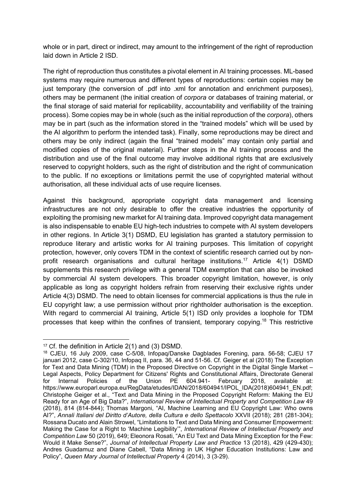whole or in part, direct or indirect, may amount to the infringement of the right of reproduction laid down in Article 2 ISD.

The right of reproduction thus constitutes a pivotal element in AI training processes. ML-based systems may require numerous and different types of reproductions: certain copies may be just temporary (the conversion of .pdf into .xml for annotation and enrichment purposes). others may be permanent (the initial creation of corpora or databases of training material, or the final storage of said material for replicability, accountability and verifiability of the training process). Some copies may be in whole (such as the initial reproduction of the corpora), others may be in part (such as the information stored in the "trained models" which will be used by the AI algorithm to perform the intended task). Finally, some reproductions may be direct and others may be only indirect (again the final "trained models" may contain only partial and modified copies of the original material). Further steps in the AI training process and the distribution and use of the final outcome may involve additional rights that are exclusively reserved to copyright holders, such as the right of distribution and the right of communication to the public. If no exceptions or limitations permit the use of copyrighted material without authorisation, all these individual acts of use require licenses.

Against this background, appropriate copyright data management and licensing infrastructures are not only desirable to offer the creative industries the opportunity of exploiting the promising new market for AI training data. Improved copyright data management is also indispensable to enable EU high-tech industries to compete with AI system developers in other regions. In Article 3(1) DSMD, EU legislation has granted a statutory permission to reproduce literary and artistic works for AI training purposes. This limitation of copyright protection, however, only covers TDM in the context of scientific research carried out by nonprofit research organisations and cultural heritage institutions.<sup>17</sup> Article 4(1) DSMD supplements this research privilege with a general TDM exemption that can also be invoked by commercial AI system developers. This broader copyright limitation, however, is only applicable as long as copyright holders refrain from reserving their exclusive rights under Article 4(3) DSMD. The need to obtain licenses for commercial applications is thus the rule in EU copyright law; a use permission without prior rightholder authorisation is the exception. With regard to commercial AI training, Article 5(1) ISD only provides a loophole for TDM processes that keep within the confines of transient, temporary copying.<sup>18</sup> This restrictive

<sup>17</sup> Cf. the definition in Article 2(1) and (3) DSMD.

<sup>18</sup> CJEU, 16 July 2009, case C-5/08, Infopaq/Danske Dagblades Forening, para. 56-58; CJEU 17 januari 2012, case C-302/10, Infopaq II, para. 36, 44 and 51-56. Cf. Geiger et al (2018) The Exception for Text and Data Mining (TDM) in the Proposed Directive on Copyright in the Digital Single Market – Legal Aspects, Policy Department for Citizens' Rights and Constitutional Affairs, Directorate General for Internal Policies of the Union PE 604.941- February 2018, available at: https://www.europarl.europa.eu/RegData/etudes/IDAN/2018/604941/IPOL\_IDA(2018)604941\_EN.pdf; Christophe Geiger et al., "Text and Data Mining in the Proposed Copyright Reform: Making the EU Ready for an Age of Big Data?", International Review of Intellectual Property and Competition Law 49 (2018), 814 (814-844); Thomas Margoni, "AI, Machine Learning and EU Copyright Law: Who owns AI?", Annali Italiani del Diritto d'Autore, della Cultura e dello Spettacolo XXVII (2018); 281 (281-304); Rossana Ducato and Alain Strowel, "Limitations to Text and Data Mining and Consumer Empowerment: Making the Case for a Right to 'Machine Legibility", International Review of Intellectual Property and Competition Law 50 (2019), 649; Eleonora Rosati, "An EU Text and Data Mining Exception for the Few: Would it Make Sense?", Journal of Intellectual Property Law and Practice 13 (2018), 429 (429-430); Andres Guadamuz and Diane Cabell, "Data Mining in UK Higher Education Institutions: Law and Policy", Queen Mary Journal of Intellectual Property 4 (2014), 3 (3-29).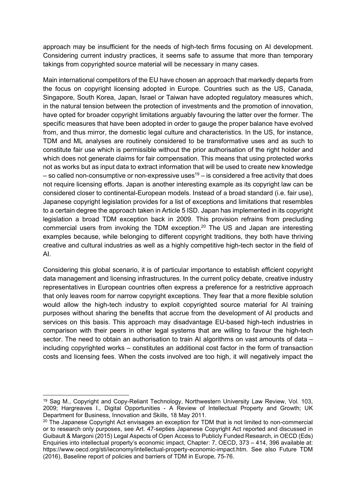approach may be insufficient for the needs of high-tech firms focusing on AI development. Considering current industry practices, it seems safe to assume that more than temporary takings from copyrighted source material will be necessary in many cases.

Main international competitors of the EU have chosen an approach that markedly departs from the focus on copyright licensing adopted in Europe. Countries such as the US, Canada, Singapore, South Korea, Japan, Israel or Taiwan have adopted regulatory measures which, in the natural tension between the protection of investments and the promotion of innovation, have opted for broader copyright limitations arguably favouring the latter over the former. The specific measures that have been adopted in order to gauge the proper balance have evolved from, and thus mirror, the domestic legal culture and characteristics. In the US, for instance, TDM and ML analyses are routinely considered to be transformative uses and as such to constitute fair use which is permissible without the prior authorisation of the right holder and which does not generate claims for fair compensation. This means that using protected works not as works but as input data to extract information that will be used to create new knowledge – so called non-consumptive or non-expressive uses<sup>19</sup> – is considered a free activity that does not require licensing efforts. Japan is another interesting example as its copyright law can be considered closer to continental-European models. Instead of a broad standard (i.e. fair use), Japanese copyright legislation provides for a list of exceptions and limitations that resembles to a certain degree the approach taken in Article 5 ISD. Japan has implemented in its copyright legislation a broad TDM exception back in 2009. This provision refrains from precluding commercial users from invoking the TDM exception.<sup>20</sup> The US and Japan are interesting examples because, while belonging to different copyright traditions, they both have thriving creative and cultural industries as well as a highly competitive high-tech sector in the field of AI.

Considering this global scenario, it is of particular importance to establish efficient copyright data management and licensing infrastructures. In the current policy debate, creative industry representatives in European countries often express a preference for a restrictive approach that only leaves room for narrow copyright exceptions. They fear that a more flexible solution would allow the high-tech industry to exploit copyrighted source material for AI training purposes without sharing the benefits that accrue from the development of AI products and services on this basis. This approach may disadvantage EU-based high-tech industries in comparison with their peers in other legal systems that are willing to favour the high-tech sector. The need to obtain an authorisation to train AI algorithms on vast amounts of data – including copyrighted works – constitutes an additional cost factor in the form of transaction costs and licensing fees. When the costs involved are too high, it will negatively impact the

<sup>&</sup>lt;sup>19</sup> Sag M., Copyright and Copy-Reliant Technology, Northwestern University Law Review, Vol. 103, 2009; Hargreaves I., Digital Opportunities - A Review of Intellectual Property and Growth; UK Department for Business, Innovation and Skills, 18 May 2011.

 $20$  The Japanese Copyright Act envisages an exception for TDM that is not limited to non-commercial or to research only purposes, see Art. 47-septies Japanese Copyright Act reported and discussed in Guibault & Margoni (2015) Legal Aspects of Open Access to Publicly Funded Research, in OECD (Eds) Enquiries into intellectual property's economic impact, Chapter: 7, OECD, 373 – 414, 396 available at: https://www.oecd.org/sti/ieconomy/intellectual-property-economic-impact.htm. See also Future TDM (2016), Baseline report of policies and barriers of TDM in Europe, 75-76.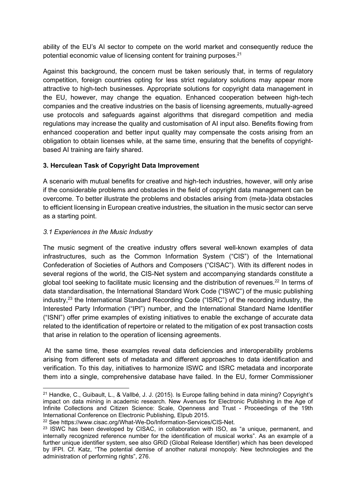ability of the EU's AI sector to compete on the world market and consequently reduce the potential economic value of licensing content for training purposes.<sup>21</sup>

Against this background, the concern must be taken seriously that, in terms of regulatory competition, foreign countries opting for less strict regulatory solutions may appear more attractive to high-tech businesses. Appropriate solutions for copyright data management in the EU, however, may change the equation. Enhanced cooperation between high-tech companies and the creative industries on the basis of licensing agreements, mutually-agreed use protocols and safeguards against algorithms that disregard competition and media regulations may increase the quality and customisation of AI input also. Benefits flowing from enhanced cooperation and better input quality may compensate the costs arising from an obligation to obtain licenses while, at the same time, ensuring that the benefits of copyrightbased AI training are fairly shared.

## 3. Herculean Task of Copyright Data Improvement

A scenario with mutual benefits for creative and high-tech industries, however, will only arise if the considerable problems and obstacles in the field of copyright data management can be overcome. To better illustrate the problems and obstacles arising from (meta-)data obstacles to efficient licensing in European creative industries, the situation in the music sector can serve as a starting point.

## 3.1 Experiences in the Music Industry

The music segment of the creative industry offers several well-known examples of data infrastructures, such as the Common Information System ("CIS") of the International Confederation of Societies of Authors and Composers ("CISAC"). With its different nodes in several regions of the world, the CIS-Net system and accompanying standards constitute a global tool seeking to facilitate music licensing and the distribution of revenues.<sup>22</sup> In terms of data standardisation, the International Standard Work Code ("ISWC") of the music publishing industry.<sup>23</sup> the International Standard Recording Code ("ISRC") of the recording industry, the Interested Party Information ("IPI") number, and the International Standard Name Identifier ("ISNI") offer prime examples of existing initiatives to enable the exchange of accurate data related to the identification of repertoire or related to the mitigation of ex post transaction costs that arise in relation to the operation of licensing agreements.

 At the same time, these examples reveal data deficiencies and interoperability problems arising from different sets of metadata and different approaches to data identification and verification. To this day, initiatives to harmonize ISWC and ISRC metadata and incorporate them into a single, comprehensive database have failed. In the EU, former Commissioner

<sup>21</sup> Handke, C., Guibault, L., & Vallbé, J. J. (2015). Is Europe falling behind in data mining? Copyright's impact on data mining in academic research. New Avenues for Electronic Publishing in the Age of Infinite Collections and Citizen Science: Scale, Openness and Trust - Proceedings of the 19th International Conference on Electronic Publishing, Elpub 2015.

<sup>22</sup> See https://www.cisac.org/What-We-Do/Information-Services/CIS-Net.

 $23$  ISWC has been developed by CISAC, in collaboration with ISO, as "a unique, permanent, and internally recognized reference number for the identification of musical works". As an example of a further unique identifier system, see also GRiD (Global Release Identifier) which has been developed by IFPI. Cf. Katz, "The potential demise of another natural monopoly: New technologies and the administration of performing rights", 276.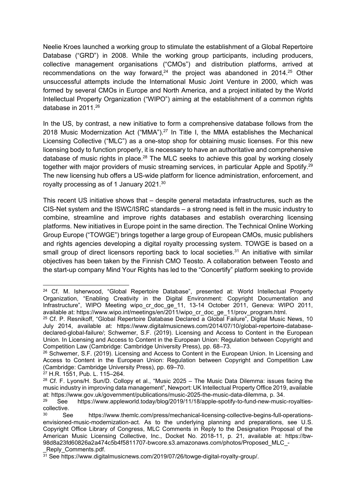Neelie Kroes launched a working group to stimulate the establishment of a Global Repertoire Database ("GRD") in 2008. While the working group participants, including producers, collective management organisations ("CMOs") and distribution platforms, arrived at recommendations on the way forward, $24$  the project was abandoned in 2014. $25$  Other unsuccessful attempts include the International Music Joint Venture in 2000, which was formed by several CMOs in Europe and North America, and a project initiated by the World Intellectual Property Organization ("WIPO") aiming at the establishment of a common rights database in 2011.<sup>26</sup>

In the US, by contrast, a new initiative to form a comprehensive database follows from the 2018 Music Modernization Act  $("MMA")<sup>27</sup>$  In Title I, the MMA establishes the Mechanical Licensing Collective ("MLC") as a one-stop shop for obtaining music licenses. For this new licensing body to function properly, it is necessary to have an authoritative and comprehensive database of music rights in place.<sup>28</sup> The MLC seeks to achieve this goal by working closely together with major providers of music streaming services, in particular Apple and Spotify.<sup>29</sup> The new licensing hub offers a US-wide platform for licence administration, enforcement, and royalty processing as of 1 January 2021.<sup>30</sup>

This recent US initiative shows that – despite general metadata infrastructures, such as the CIS-Net system and the ISWC/ISRC standards – a strong need is felt in the music industry to combine, streamline and improve rights databases and establish overarching licensing platforms. New initiatives in Europe point in the same direction. The Technical Online Working Group Europe ("TOWGE") brings together a large group of European CMOs, music publishers and rights agencies developing a digital royalty processing system. TOWGE is based on a small group of direct licensors reporting back to local societies.<sup>31</sup> An initiative with similar objectives has been taken by the Finnish CMO Teosto. A collaboration between Teosto and the start-up company Mind Your Rights has led to the "Concertify" platform seeking to provide

<sup>&</sup>lt;sup>24</sup> Cf. M. Isherwood, "Global Repertoire Database", presented at: World Intellectual Property Organization, "Enabling Creativity in the Digital Environment: Copyright Documentation and Infrastructure", WIPO Meeting wipo\_cr\_doc\_ge\_11, 13-14 October 2011, Geneva: WIPO 2011, available at: https://www.wipo.int/meetings/en/2011/wipo\_cr\_doc\_ge\_11/prov\_program.html.

<sup>&</sup>lt;sup>25</sup> Cf. P. Resnikoff, "Global Repertoire Database Declared a Global Failure", Digital Music News, 10 July 2014, available at: https://www.digitalmusicnews.com/2014/07/10/global-repertoire-databasedeclared-global-failure/; Schwemer, S.F. (2019). Licensing and Access to Content in the European Union. In Licensing and Access to Content in the European Union: Regulation between Copyright and Competition Law (Cambridge: Cambridge University Press), pp. 68–73.

<sup>&</sup>lt;sup>26</sup> Schwemer, S.F. (2019). Licensing and Access to Content in the European Union. In Licensing and Access to Content in the European Union: Regulation between Copyright and Competition Law (Cambridge: Cambridge University Press), pp. 69–70.

<sup>27</sup> H.R. 1551, Pub. L. 115–264.

<sup>&</sup>lt;sup>28</sup> Cf. F. Lyons/H. Sun/D. Collopy et al., "Music 2025 – The Music Data Dilemma: issues facing the music industry in improving data management", Newport: UK Intellectual Property Office 2019, available at: https://www.gov.uk/government/publications/music-2025-the-music-data-dilemma, p. 34.

See https://www.appleworld.today/blog/2019/11/18/apple-spotify-to-fund-new-music-royaltiescollective.

<sup>30</sup> See https://www.themlc.com/press/mechanical-licensing-collective-begins-full-operationsenvisioned-music-modernization-act. As to the underlying planning and preparations, see U.S. Copyright Office Library of Congress, MLC Comments in Reply to the Designation Proposal of the American Music Licensing Collective, Inc., Docket No. 2018-11, p. 21, available at: https://bw-98d8a23fd60826a2a474c5b4f5811707-bwcore.s3.amazonaws.com/photos/Proposed\_MLC\_- Reply\_Comments.pdf.

<sup>31</sup> See https://www.digitalmusicnews.com/2019/07/26/towge-digital-royalty-group/.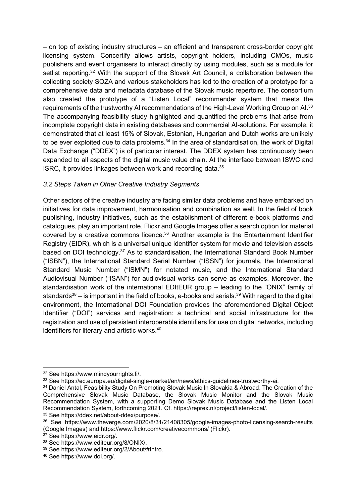– on top of existing industry structures – an efficient and transparent cross-border copyright licensing system. Concertify allows artists, copyright holders, including CMOs, music publishers and event organisers to interact directly by using modules, such as a module for setlist reporting.<sup>32</sup> With the support of the Slovak Art Council, a collaboration between the collecting society SOZA and various stakeholders has led to the creation of a prototype for a comprehensive data and metadata database of the Slovak music repertoire. The consortium also created the prototype of a "Listen Local" recommender system that meets the requirements of the trustworthy AI recommendations of the High-Level Working Group on AI.<sup>33</sup> The accompanying feasibility study highlighted and quantified the problems that arise from incomplete copyright data in existing databases and commercial AI-solutions. For example, it demonstrated that at least 15% of Slovak, Estonian, Hungarian and Dutch works are unlikely to be ever exploited due to data problems. $34$  In the area of standardisation, the work of Digital Data Exchange ("DDEX") is of particular interest. The DDEX system has continuously been expanded to all aspects of the digital music value chain. At the interface between ISWC and ISRC, it provides linkages between work and recording data.<sup>35</sup>

# 3.2 Steps Taken in Other Creative Industry Segments

Other sectors of the creative industry are facing similar data problems and have embarked on initiatives for data improvement, harmonisation and combination as well. In the field of book publishing, industry initiatives, such as the establishment of different e-book platforms and catalogues, play an important role. Flickr and Google Images offer a search option for material covered by a creative commons licence.<sup>36</sup> Another example is the Entertainment Identifier Registry (EIDR), which is a universal unique identifier system for movie and television assets based on DOI technology.<sup>37</sup> As to standardisation, the International Standard Book Number ("ISBN"), the International Standard Serial Number ("ISSN") for journals, the International Standard Music Number ("ISMN") for notated music, and the International Standard Audiovisual Number ("ISAN") for audiovisual works can serve as examples. Moreover, the standardisation work of the international EDItEUR group – leading to the "ONIX" family of standards $38 -$  is important in the field of books, e-books and serials. $39$  With regard to the digital environment, the International DOI Foundation provides the aforementioned Digital Object Identifier ("DOI") services and registration: a technical and social infrastructure for the registration and use of persistent interoperable identifiers for use on digital networks, including identifiers for literary and artistic works.<sup>40</sup>

<sup>32</sup> See https://www.mindyourrights.fi/.

<sup>33</sup> See https://ec.europa.eu/digital-single-market/en/news/ethics-guidelines-trustworthy-ai.

<sup>&</sup>lt;sup>34</sup> Daniel Antal, Feasibility Study On Promoting Slovak Music In Slovakia & Abroad. The Creation of the Comprehensive Slovak Music Database, the Slovak Music Monitor and the Slovak Music Recommendation System, with a supporting Demo Slovak Music Database and the Listen Local Recommendation System, forthcoming 2021. Cf. https://reprex.nl/project/listen-local/.

<sup>35</sup> See https://ddex.net/about-ddex/purpose/.

<sup>36</sup> See https://www.theverge.com/2020/8/31/21408305/google-images-photo-licensing-search-results (Google Images) and https://www.flickr.com/creativecommons/ (Flickr).

<sup>37</sup> See https://www.eidr.org/.

<sup>38</sup> See https://www.editeur.org/8/ONIX/.

<sup>39</sup> See https://www.editeur.org/2/About/#Intro.

<sup>40</sup> See https://www.doi.org/.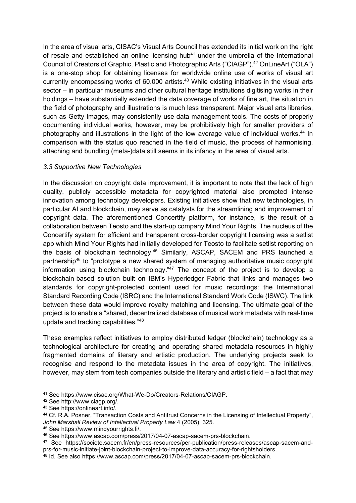In the area of visual arts, CISAC's Visual Arts Council has extended its initial work on the right of resale and established an online licensing hub<sup>41</sup> under the umbrella of the International Council of Creators of Graphic, Plastic and Photographic Arts ("CIAGP").<sup>42</sup> OnLineArt ("OLA") is a one-stop shop for obtaining licenses for worldwide online use of works of visual art currently encompassing works of  $60.000$  artists.<sup>43</sup> While existing initiatives in the visual arts sector – in particular museums and other cultural heritage institutions digitising works in their holdings – have substantially extended the data coverage of works of fine art, the situation in the field of photography and illustrations is much less transparent. Major visual arts libraries, such as Getty Images, may consistently use data management tools. The costs of properly documenting individual works, however, may be prohibitively high for smaller providers of photography and illustrations in the light of the low average value of individual works.<sup>44</sup> In comparison with the status quo reached in the field of music, the process of harmonising, attaching and bundling (meta-)data still seems in its infancy in the area of visual arts.

## 3.3 Supportive New Technologies

In the discussion on copyright data improvement, it is important to note that the lack of high quality, publicly accessible metadata for copyrighted material also prompted intense innovation among technology developers. Existing initiatives show that new technologies, in particular AI and blockchain, may serve as catalysts for the streamlining and improvement of copyright data. The aforementioned Concertify platform, for instance, is the result of a collaboration between Teosto and the start-up company Mind Your Rights. The nucleus of the Concertify system for efficient and transparent cross-border copyright licensing was a setlist app which Mind Your Rights had initially developed for Teosto to facilitate setlist reporting on the basis of blockchain technology.<sup>45</sup> Similarly, ASCAP, SACEM and PRS launched a partnership<sup>46</sup> to "prototype a new shared system of managing authoritative music copyright information using blockchain technology." $47$  The concept of the project is to develop a blockchain-based solution built on IBM's Hyperledger Fabric that links and manages two standards for copyright-protected content used for music recordings: the International Standard Recording Code (ISRC) and the International Standard Work Code (ISWC). The link between these data would improve royalty matching and licensing. The ultimate goal of the project is to enable a "shared, decentralized database of musical work metadata with real-time update and tracking capabilities."<sup>48</sup>

These examples reflect initiatives to employ distributed ledger (blockchain) technology as a technological architecture for creating and operating shared metadata resources in highly fragmented domains of literary and artistic production. The underlying projects seek to recognise and respond to the metadata issues in the area of copyright. The initiatives, however, may stem from tech companies outside the literary and artistic field – a fact that may

<sup>41</sup> See https://www.cisac.org/What-We-Do/Creators-Relations/CIAGP.

<sup>42</sup> See http://www.ciagp.org/.

<sup>43</sup> See https://onlineart.info/.

<sup>44</sup> Cf. R.A. Posner, "Transaction Costs and Antitrust Concerns in the Licensing of Intellectual Property", John Marshall Review of Intellectual Property Law 4 (2005), 325.

<sup>45</sup> See https://www.mindyourrights.fi/.

<sup>46</sup> See https://www.ascap.com/press/2017/04-07-ascap-sacem-prs-blockchain.

<sup>47</sup> See https://societe.sacem.fr/en/press-resources/per-publication/press-releases/ascap-sacem-andprs-for-music-initiate-joint-blockchain-project-to-improve-data-accuracy-for-rightsholders.

<sup>48</sup> Id. See also https://www.ascap.com/press/2017/04-07-ascap-sacem-prs-blockchain.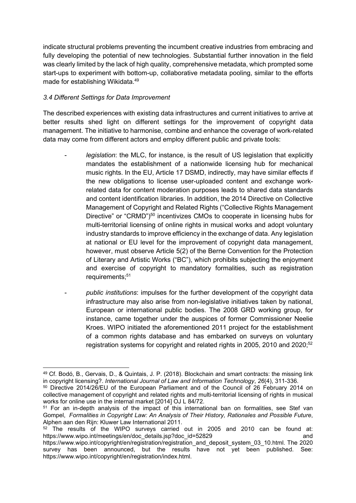indicate structural problems preventing the incumbent creative industries from embracing and fully developing the potential of new technologies. Substantial further innovation in the field was clearly limited by the lack of high quality, comprehensive metadata, which prompted some start-ups to experiment with bottom-up, collaborative metadata pooling, similar to the efforts made for establishing Wikidata.<sup>49</sup>

## 3.4 Different Settings for Data Improvement

The described experiences with existing data infrastructures and current initiatives to arrive at better results shed light on different settings for the improvement of copyright data management. The initiative to harmonise, combine and enhance the coverage of work-related data may come from different actors and employ different public and private tools:

- legislation: the MLC, for instance, is the result of US legislation that explicitly mandates the establishment of a nationwide licensing hub for mechanical music rights. In the EU, Article 17 DSMD, indirectly, may have similar effects if the new obligations to license user-uploaded content and exchange workrelated data for content moderation purposes leads to shared data standards and content identification libraries. In addition, the 2014 Directive on Collective Management of Copyright and Related Rights ("Collective Rights Management Directive" or "CRMD")<sup>50</sup> incentivizes CMOs to cooperate in licensing hubs for multi-territorial licensing of online rights in musical works and adopt voluntary industry standards to improve efficiency in the exchange of data. Any legislation at national or EU level for the improvement of copyright data management, however, must observe Article 5(2) of the Berne Convention for the Protection of Literary and Artistic Works ("BC"), which prohibits subjecting the enjoyment and exercise of copyright to mandatory formalities, such as registration requirements;<sup>51</sup>
- public institutions: impulses for the further development of the copyright data infrastructure may also arise from non-legislative initiatives taken by national, European or international public bodies. The 2008 GRD working group, for instance, came together under the auspices of former Commissioner Neelie Kroes. WIPO initiated the aforementioned 2011 project for the establishment of a common rights database and has embarked on surveys on voluntary registration systems for copyright and related rights in 2005, 2010 and 2020;<sup>52</sup>

https://www.wipo.int/copyright/en/registration/index.html.

<sup>49</sup> Cf. Bodó, B., Gervais, D., & Quintais, J. P. (2018). Blockchain and smart contracts: the missing link in copyright licensing?. International Journal of Law and Information Technology, 26(4), 311-336.

<sup>50</sup> Directive 2014/26/EU of the European Parliament and of the Council of 26 February 2014 on collective management of copyright and related rights and multi-territorial licensing of rights in musical works for online use in the internal market [2014] OJ L 84/72.

<sup>&</sup>lt;sup>51</sup> For an in-depth analysis of the impact of this international ban on formalities, see Stef van Gompel, Formalities in Copyright Law: An Analysis of Their History, Rationales and Possible Future, Alphen aan den Rijn: Kluwer Law International 2011.

 $52$  The results of the WIPO surveys carried out in 2005 and 2010 can be found at: https://www.wipo.int/meetings/en/doc\_details.jsp?doc\_id=52829 and https://www.wipo.int/copyright/en/registration/registration\_and\_deposit\_system\_03\_10.html. The 2020 survey has been announced, but the results have not yet been published. See: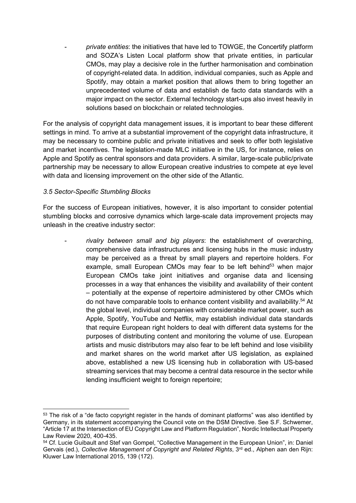private entities: the initiatives that have led to TOWGE, the Concertify platform and SOZA's Listen Local platform show that private entities, in particular CMOs, may play a decisive role in the further harmonisation and combination of copyright-related data. In addition, individual companies, such as Apple and Spotify, may obtain a market position that allows them to bring together an unprecedented volume of data and establish de facto data standards with a major impact on the sector. External technology start-ups also invest heavily in solutions based on blockchain or related technologies.

For the analysis of copyright data management issues, it is important to bear these different settings in mind. To arrive at a substantial improvement of the copyright data infrastructure, it may be necessary to combine public and private initiatives and seek to offer both legislative and market incentives. The legislation-made MLC initiative in the US, for instance, relies on Apple and Spotify as central sponsors and data providers. A similar, large-scale public/private partnership may be necessary to allow European creative industries to compete at eye level with data and licensing improvement on the other side of the Atlantic.

#### 3.5 Sector-Specific Stumbling Blocks

For the success of European initiatives, however, it is also important to consider potential stumbling blocks and corrosive dynamics which large-scale data improvement projects may unleash in the creative industry sector:

rivalry between small and big players: the establishment of overarching, comprehensive data infrastructures and licensing hubs in the music industry may be perceived as a threat by small players and repertoire holders. For example, small European CMOs may fear to be left behind<sup>53</sup> when major European CMOs take joint initiatives and organise data and licensing processes in a way that enhances the visibility and availability of their content – potentially at the expense of repertoire administered by other CMOs which do not have comparable tools to enhance content visibility and availability.<sup>54</sup> At the global level, individual companies with considerable market power, such as Apple, Spotify, YouTube and Netflix, may establish individual data standards that require European right holders to deal with different data systems for the purposes of distributing content and monitoring the volume of use. European artists and music distributors may also fear to be left behind and lose visibility and market shares on the world market after US legislation, as explained above, established a new US licensing hub in collaboration with US-based streaming services that may become a central data resource in the sector while lending insufficient weight to foreign repertoire;

<sup>&</sup>lt;sup>53</sup> The risk of a "de facto copyright register in the hands of dominant platforms" was also identified by Germany, in its statement accompanying the Council vote on the DSM Directive. See S.F. Schwemer, "Article 17 at the Intersection of EU Copyright Law and Platform Regulation", Nordic Intellectual Property Law Review 2020, 400-435.

<sup>54</sup> Cf. Lucie Guibault and Stef van Gompel, "Collective Management in the European Union", in: Daniel Gervais (ed.), Collective Management of Copyright and Related Rights, 3<sup>rd</sup> ed., Alphen aan den Rijn: Kluwer Law International 2015, 139 (172).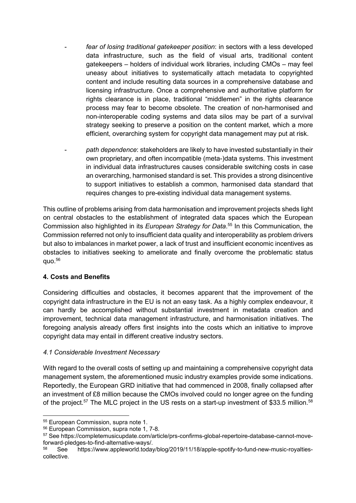- fear of losing traditional gatekeeper position: in sectors with a less developed data infrastructure, such as the field of visual arts, traditional content gatekeepers – holders of individual work libraries, including CMOs – may feel uneasy about initiatives to systematically attach metadata to copyrighted content and include resulting data sources in a comprehensive database and licensing infrastructure. Once a comprehensive and authoritative platform for rights clearance is in place, traditional "middlemen" in the rights clearance process may fear to become obsolete. The creation of non-harmonised and non-interoperable coding systems and data silos may be part of a survival strategy seeking to preserve a position on the content market, which a more efficient, overarching system for copyright data management may put at risk.
- path dependence: stakeholders are likely to have invested substantially in their own proprietary, and often incompatible (meta-)data systems. This investment in individual data infrastructures causes considerable switching costs in case an overarching, harmonised standard is set. This provides a strong disincentive to support initiatives to establish a common, harmonised data standard that requires changes to pre-existing individual data management systems.

This outline of problems arising from data harmonisation and improvement projects sheds light on central obstacles to the establishment of integrated data spaces which the European Commission also highlighted in its European Strategy for Data.<sup>55</sup> In this Communication, the Commission referred not only to insufficient data quality and interoperability as problem drivers but also to imbalances in market power, a lack of trust and insufficient economic incentives as obstacles to initiatives seeking to ameliorate and finally overcome the problematic status  $quo.<sup>56</sup>$ 

## 4. Costs and Benefits

Considering difficulties and obstacles, it becomes apparent that the improvement of the copyright data infrastructure in the EU is not an easy task. As a highly complex endeavour, it can hardly be accomplished without substantial investment in metadata creation and improvement, technical data management infrastructure, and harmonisation initiatives. The foregoing analysis already offers first insights into the costs which an initiative to improve copyright data may entail in different creative industry sectors.

## 4.1 Considerable Investment Necessary

With regard to the overall costs of setting up and maintaining a comprehensive copyright data management system, the aforementioned music industry examples provide some indications. Reportedly, the European GRD initiative that had commenced in 2008, finally collapsed after an investment of £8 million because the CMOs involved could no longer agree on the funding of the project.<sup>57</sup> The MLC project in the US rests on a start-up investment of \$33.5 million.<sup>58</sup>

<sup>55</sup> European Commission, supra note 1.

<sup>56</sup> European Commission, supra note 1, 7-8.

<sup>57</sup> See https://completemusicupdate.com/article/prs-confirms-global-repertoire-database-cannot-moveforward-pledges-to-find-alternative-ways/.

<sup>58</sup> See https://www.appleworld.today/blog/2019/11/18/apple-spotify-to-fund-new-music-royaltiescollective.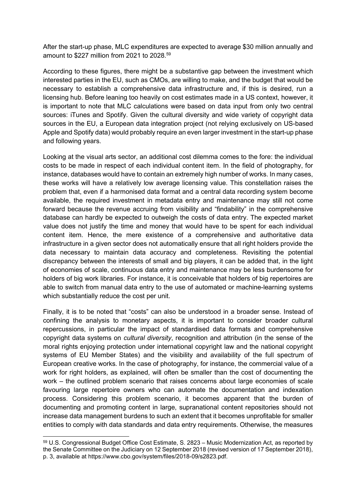After the start-up phase, MLC expenditures are expected to average \$30 million annually and amount to \$227 million from 2021 to 2028.<sup>59</sup>

According to these figures, there might be a substantive gap between the investment which interested parties in the EU, such as CMOs, are willing to make, and the budget that would be necessary to establish a comprehensive data infrastructure and, if this is desired, run a licensing hub. Before leaning too heavily on cost estimates made in a US context, however, it is important to note that MLC calculations were based on data input from only two central sources: iTunes and Spotify. Given the cultural diversity and wide variety of copyright data sources in the EU, a European data integration project (not relying exclusively on US-based Apple and Spotify data) would probably require an even larger investment in the start-up phase and following years.

Looking at the visual arts sector, an additional cost dilemma comes to the fore: the individual costs to be made in respect of each individual content item. In the field of photography, for instance, databases would have to contain an extremely high number of works. In many cases, these works will have a relatively low average licensing value. This constellation raises the problem that, even if a harmonised data format and a central data recording system become available, the required investment in metadata entry and maintenance may still not come forward because the revenue accruing from visibility and "findability" in the comprehensive database can hardly be expected to outweigh the costs of data entry. The expected market value does not justify the time and money that would have to be spent for each individual content item. Hence, the mere existence of a comprehensive and authoritative data infrastructure in a given sector does not automatically ensure that all right holders provide the data necessary to maintain data accuracy and completeness. Revisiting the potential discrepancy between the interests of small and big players, it can be added that, in the light of economies of scale, continuous data entry and maintenance may be less burdensome for holders of big work libraries. For instance, it is conceivable that holders of big repertoires are able to switch from manual data entry to the use of automated or machine-learning systems which substantially reduce the cost per unit.

Finally, it is to be noted that "costs" can also be understood in a broader sense. Instead of confining the analysis to monetary aspects, it is important to consider broader cultural repercussions, in particular the impact of standardised data formats and comprehensive copyright data systems on *cultural diversity*, recognition and attribution (in the sense of the moral rights enjoying protection under international copyright law and the national copyright systems of EU Member States) and the visibility and availability of the full spectrum of European creative works. In the case of photography, for instance, the commercial value of a work for right holders, as explained, will often be smaller than the cost of documenting the work – the outlined problem scenario that raises concerns about large economies of scale favouring large repertoire owners who can automate the documentation and indexation process. Considering this problem scenario, it becomes apparent that the burden of documenting and promoting content in large, supranational content repositories should not increase data management burdens to such an extent that it becomes unprofitable for smaller entities to comply with data standards and data entry requirements. Otherwise, the measures

<sup>59</sup> U.S. Congressional Budget Office Cost Estimate, S. 2823 – Music Modernization Act, as reported by the Senate Committee on the Judiciary on 12 September 2018 (revised version of 17 September 2018), p. 3, available at https://www.cbo.gov/system/files/2018-09/s2823.pdf.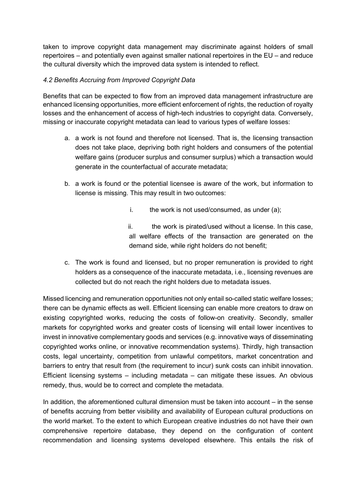taken to improve copyright data management may discriminate against holders of small repertoires – and potentially even against smaller national repertoires in the EU – and reduce the cultural diversity which the improved data system is intended to reflect.

# 4.2 Benefits Accruing from Improved Copyright Data

Benefits that can be expected to flow from an improved data management infrastructure are enhanced licensing opportunities, more efficient enforcement of rights, the reduction of royalty losses and the enhancement of access of high-tech industries to copyright data. Conversely, missing or inaccurate copyright metadata can lead to various types of welfare losses:

- a. a work is not found and therefore not licensed. That is, the licensing transaction does not take place, depriving both right holders and consumers of the potential welfare gains (producer surplus and consumer surplus) which a transaction would generate in the counterfactual of accurate metadata;
- b. a work is found or the potential licensee is aware of the work, but information to license is missing. This may result in two outcomes:
	- i. the work is not used/consumed, as under  $(a)$ ;
	- ii. the work is pirated/used without a license. In this case, all welfare effects of the transaction are generated on the demand side, while right holders do not benefit;
- c. The work is found and licensed, but no proper remuneration is provided to right holders as a consequence of the inaccurate metadata, i.e., licensing revenues are collected but do not reach the right holders due to metadata issues.

Missed licencing and remuneration opportunities not only entail so-called static welfare losses; there can be dynamic effects as well. Efficient licensing can enable more creators to draw on existing copyrighted works, reducing the costs of follow-on creativity. Secondly, smaller markets for copyrighted works and greater costs of licensing will entail lower incentives to invest in innovative complementary goods and services (e.g. innovative ways of disseminating copyrighted works online, or innovative recommendation systems). Thirdly, high transaction costs, legal uncertainty, competition from unlawful competitors, market concentration and barriers to entry that result from (the requirement to incur) sunk costs can inhibit innovation. Efficient licensing systems – including metadata – can mitigate these issues. An obvious remedy, thus, would be to correct and complete the metadata.

In addition, the aforementioned cultural dimension must be taken into account – in the sense of benefits accruing from better visibility and availability of European cultural productions on the world market. To the extent to which European creative industries do not have their own comprehensive repertoire database, they depend on the configuration of content recommendation and licensing systems developed elsewhere. This entails the risk of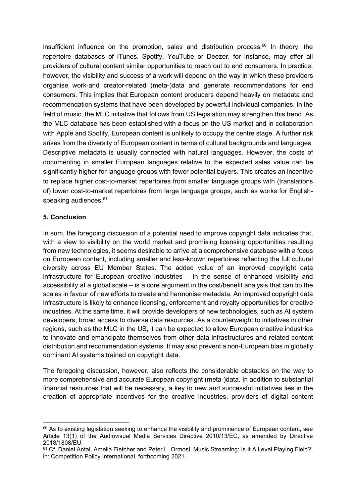insufficient influence on the promotion, sales and distribution process.<sup>60</sup> In theory, the repertoire databases of iTunes, Spotify, YouTube or Deezer, for instance, may offer all providers of cultural content similar opportunities to reach out to end consumers. In practice, however, the visibility and success of a work will depend on the way in which these providers organise work-and creator-related (meta-)data and generate recommendations for end consumers. This implies that European content producers depend heavily on metadata and recommendation systems that have been developed by powerful individual companies. In the field of music, the MLC initiative that follows from US legislation may strengthen this trend. As the MLC database has been established with a focus on the US market and in collaboration with Apple and Spotify, European content is unlikely to occupy the centre stage. A further risk arises from the diversity of European content in terms of cultural backgrounds and languages. Descriptive metadata is usually connected with natural languages. However, the costs of documenting in smaller European languages relative to the expected sales value can be significantly higher for language groups with fewer potential buyers. This creates an incentive to replace higher cost-to-market repertoires from smaller language groups with (translations of) lower cost-to-market repertoires from large language groups, such as works for Englishspeaking audiences.<sup>61</sup>

#### 5. Conclusion

In sum, the foregoing discussion of a potential need to improve copyright data indicates that, with a view to visibility on the world market and promising licensing opportunities resulting from new technologies, it seems desirable to arrive at a comprehensive database with a focus on European content, including smaller and less-known repertoires reflecting the full cultural diversity across EU Member States. The added value of an improved copyright data infrastructure for European creative industries – in the sense of enhanced visibility and accessibility at a global scale – is a core argument in the cost/benefit analysis that can tip the scales in favour of new efforts to create and harmonise metadata. An improved copyright data infrastructure is likely to enhance licensing, enforcement and royalty opportunities for creative industries. At the same time, it will provide developers of new technologies, such as AI system developers, broad access to diverse data resources. As a counterweight to initiatives in other regions, such as the MLC in the US, it can be expected to allow European creative industries to innovate and emancipate themselves from other data infrastructures and related content distribution and recommendation systems. It may also prevent a non-European bias in globally dominant AI systems trained on copyright data.

The foregoing discussion, however, also reflects the considerable obstacles on the way to more comprehensive and accurate European copyright (meta-)data. In addition to substantial financial resources that will be necessary, a key to new and successful initiatives lies in the creation of appropriate incentives for the creative industries, providers of digital content

 $60$  As to existing legislation seeking to enhance the visibility and prominence of European content, see Article 13(1) of the Audiovisual Media Services Directive 2010/13/EC, as amended by Directive 2018/1808/EU.

<sup>&</sup>lt;sup>61</sup> Cf. Daniel Antal. Amelia Fletcher and Peter L. Ormosi, Music Streaming: Is It A Level Playing Field?, in: Competition Policy International, forthcoming 2021.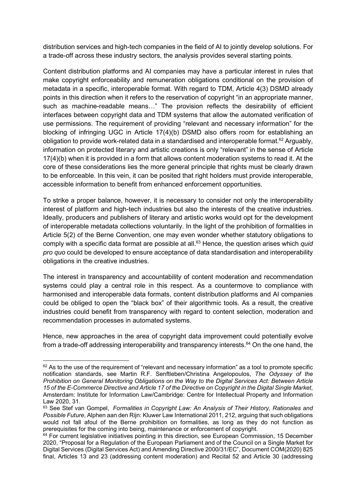distribution services and high-tech companies in the field of AI to jointly develop solutions. For a trade-off across these industry sectors, the analysis provides several starting points.

Content distribution platforms and AI companies may have a particular interest in rules that make copyright enforceability and remuneration obligations conditional on the provision of metadata in a specific, interoperable format. With regard to TDM, Article 4(3) DSMD already points in this direction when it refers to the reservation of copyright "in an appropriate manner, such as machine-readable means…" The provision reflects the desirability of efficient interfaces between copyright data and TDM systems that allow the automated verification of use permissions. The requirement of providing "relevant and necessary information" for the blocking of infringing UGC in Article 17(4)(b) DSMD also offers room for establishing an obligation to provide work-related data in a standardised and interoperable format.<sup>62</sup> Arguably, information on protected literary and artistic creations is only "relevant" in the sense of Article 17(4)(b) when it is provided in a form that allows content moderation systems to read it. At the core of these considerations lies the more general principle that rights must be clearly drawn to be enforceable. In this vein, it can be posited that right holders must provide interoperable, accessible information to benefit from enhanced enforcement opportunities.

To strike a proper balance, however, it is necessary to consider not only the interoperability interest of platform and high-tech industries but also the interests of the creative industries. Ideally, producers and publishers of literary and artistic works would opt for the development of interoperable metadata collections voluntarily. In the light of the prohibition of formalities in Article 5(2) of the Berne Convention, one may even wonder whether statutory obligations to comply with a specific data format are possible at all.<sup>63</sup> Hence, the question arises which *quid* pro quo could be developed to ensure acceptance of data standardisation and interoperability obligations in the creative industries.

The interest in transparency and accountability of content moderation and recommendation systems could play a central role in this respect. As a countermove to compliance with harmonised and interoperable data formats, content distribution platforms and AI companies could be obliged to open the "black box" of their algorithmic tools. As a result, the creative industries could benefit from transparency with regard to content selection, moderation and recommendation processes in automated systems.

Hence, new approaches in the area of copyright data improvement could potentially evolve from a trade-off addressing interoperability and transparency interests.<sup>64</sup> On the one hand, the

 $62$  As to the use of the requirement of "relevant and necessary information" as a tool to promote specific notification standards, see Martin R.F. Senftleben/Christina Angelopoulos, The Odyssey of the Prohibition on General Monitoring Obligations on the Way to the Digital Services Act: Between Article 15 of the E-Commerce Directive and Article 17 of the Directive on Copyright in the Digital Single Market, Amsterdam: Institute for Information Law/Cambridge: Centre for Intellectual Property and Information Law 2020, 31.

<sup>63</sup> See Stef van Gompel, Formalities in Copyright Law: An Analysis of Their History, Rationales and Possible Future, Alphen aan den Rijn: Kluwer Law International 2011, 212, arguing that such obligations would not fall afoul of the Berne prohibition on formalities, as long as they do not function as prerequisites for the coming into being, maintenance or enforcement of copyright.

 $64$  For current legislative initiatives pointing in this direction, see European Commission, 15 December 2020, "Proposal for a Regulation of the European Parliament and of the Council on a Single Market for Digital Services (Digital Services Act) and Amending Directive 2000/31/EC", Document COM(2020) 825 final, Articles 13 and 23 (addressing content moderation) and Recital 52 and Article 30 (addressing